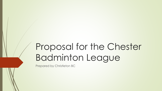# Proposal for the Chester Badminton League

Prepared by Christleton BC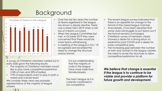## Background



- Over the last ten years the number of teams registered in the league has shown a steady decline. There was a steep fall in 2019 when a net loss of 4 teams occurred.
- When the League Committee last met in October 2019 they were concerned that there would be more teams withdrawing.
- A meeting of the League in Oct '19 recognised and recorded the need to change the structure and/or format.
- The recent league surveys indicated that there is an appetite for change to the format of the mixed league matches.
- Anecdotally, it has been reported that some clubs will struggle to put teams out if the format remains unchanged.
- Christleton survey of members clearly showed a desire for a strong return to badminton post COVID and a desire for more competitive play.
- The increasing gap between the number of men and women in the league creates the need to revise the structures to allow competitive badminton for all.

A survey of Christleton members carried out in early 2020 gave the following results:

- The majority of Christleton members would like to play more competitive badminton (74% of men and 33% of ladies)
- 77% of respondents want to play in both a mixed and a levels team

We consider these views are probably representative of the majority of league players.

It is our understanding that the majority of clubs in the league have more male than female players.

currently constituted is not competitive

*We believe that change is essential if the league is to continue to be viable and provide a platform for*  The men's league as it is **The ment is a strategy of the future growth and development.**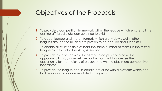### Objectives of the Proposals

- 1. To provide a competition framework within the league which ensures all the existing affiliated clubs can continue to exist
- 2. To adopt league and match formats which are widely used in other leagues around the UK and are proven to be popular and successful
- 3. To enable all clubs to field at least the same number of teams in the mixed league as they did in the 2019/20 season
- 4. To provide as far as possible for all registered players to have the opportunity to play competitive badminton and to increase the opportunity for the majority of players who wish to play more competitive badminton
- 5. To provide the league and its constituent clubs with a platform which can both enable and accommodate future growth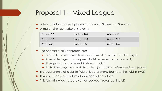### Proposal 1 – Mixed League

- A team shall comprise 6 players made up of 3 men and 3 women
- A match shall comprise of 9 events

| $Mens - 182$ | Ladies $-182$ | Mixed – $1st$           |
|--------------|---------------|-------------------------|
| $Mens - 183$ | Ladies - 1&3  | Mixed - 2 <sup>nd</sup> |
| Mens - 2&3   | Ladies $-283$ | Mixed - 3rd             |

- The benefits of this approach are:
	- None of the smaller clubs should have to withdraw a team from the league
	- Some of the larger clubs may elect to field more teams than previously
	- All players will be guaranteed 6 sets each match
	- Each player plays more levels than mixed (which is the preference of most players)
- It should enable all clubs to field at least as many teams as they did in 19/20
- It would enable a structure of 4 divisions of equal size
- This format is widely used by other leagues throughout the UK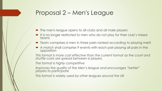#### Proposal 2 – Men's League

- The men's league opens to all clubs and all male players
- It is no longer restricted to men who do not play for their club's mixed teams
- Team comprises 6 men in three pairs ranked according to playing merit
- A match shall comprise 9 events with each pair playing all pairs in the opposition

*This format is more cost effective than the current format as the court and shuttle costs are spread between 6 players.*

*The format is highly competitive*

*Improves the quality of the Men's league and encourages "better" players to participate*

*This format is widely used by other leagues around the UK*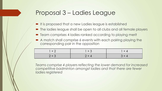## Proposal 3 – Ladies League

- It is proposed that a new Ladies league is established
- The ladies league shall be open to all clubs and all female players
- **•** Team comprises 4 ladies ranked according to playing merit
- A match shall comprise 6 events with each pairing playing the corresponding pair in the opposition

| $1 + 2$ | $1 + 3$ | $+4$    |
|---------|---------|---------|
| $2 + 3$ | $2 + 4$ | $3 + 4$ |

*Teams comprise 4 players reflecting the lower demand for increased competitive badminton amongst ladies and that there are fewer ladies registered*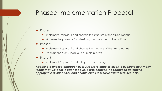#### Phased Implementation Proposal

#### Phase 1

- Implement Proposal 1 and change the structure of the Mixed League
- Maximise the potential for all existing clubs and teams to continue
- Phase 2
	- **IMPLEMENTHERE IMPLEMENT PROPOSAL 2 and change the structure of the Men's league**
	- Open up the Men's league to all male players
- Phase 3
	- **IMPLEMENT PROPOSAL 3 and set up the Ladies league**

*Adopting a phased approach over 2 seasons enables clubs to evaluate how many teams they will field in each league. It also enables The League to determine appropriate division sizes and enable clubs to resolve fixture requirements.*